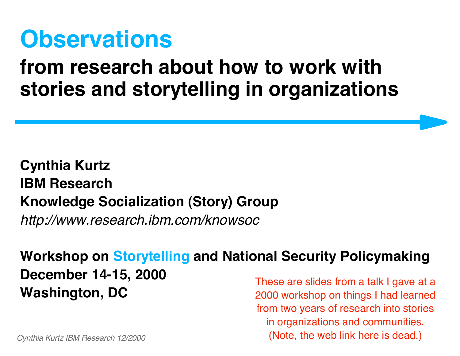# **Observations**

#### **from research about how to work with stories and storytelling in organizations**

#### **Cynthia Kurtz IBM Research Knowledge Socialization (Story) Group** *http://www.research.ibm.com/knowsoc*

**Workshop on Storytelling and National Security Policymaking**

**December 14-15, 2000**

**Washington, DC** These are slides from a talk I gave at a 2000 workshop on things I had learned from two years of research into stories in organizations and communities. (Note, the web link here is dead.)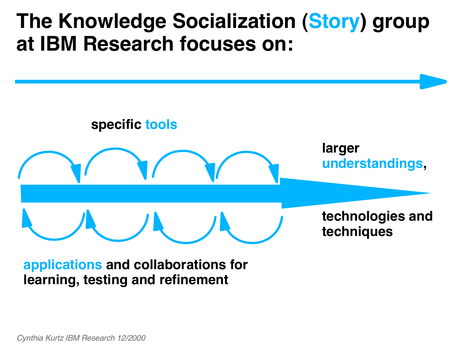#### **The Knowledge Socialization (Story) group at IBM Research focuses on:**



**applications and collaborations for learning, testing and refinement**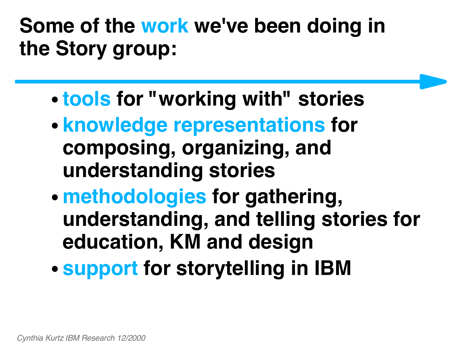## **Some of the work we've been doing in the Story group:**

- **tools for "working with" stories**
- **knowledge representations for composing, organizing, and understanding stories**
- **methodologies for gathering, understanding, and telling stories for education, KM and design**
- **support for storytelling in IBM**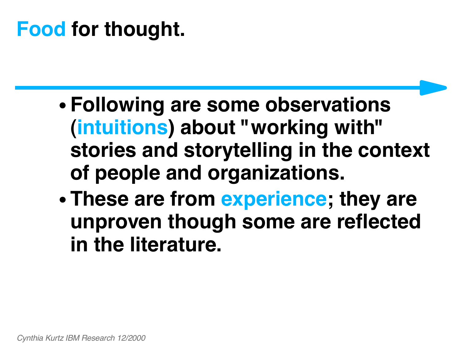## **Food for thought.**

- **Following are some observations (intuitions) about "working with" stories and storytelling in the context of people and organizations.**
- **These are from experience; they are unproven though some are reflected in the literature.**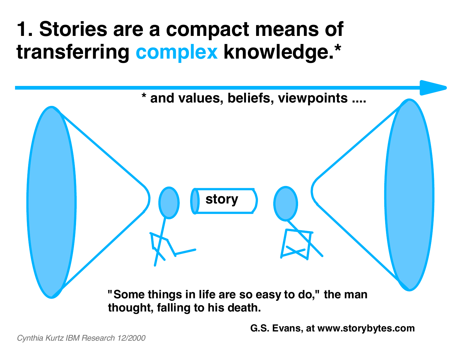#### **1. Stories are a compact means of transferring complex knowledge.\***



**G.S. Evans, at www.storybytes.com**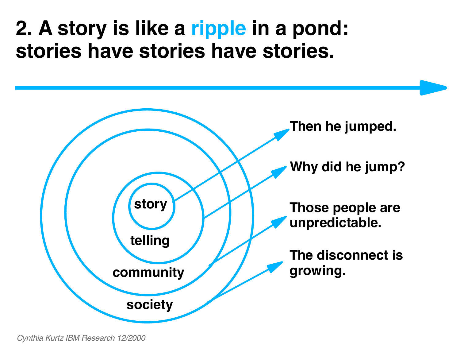#### **2. A story is like a ripple in a pond: stories have stories have stories.**

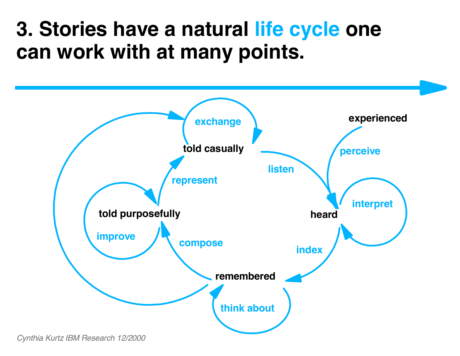#### **3. Stories have a natural life cycle one can work with at many points.**

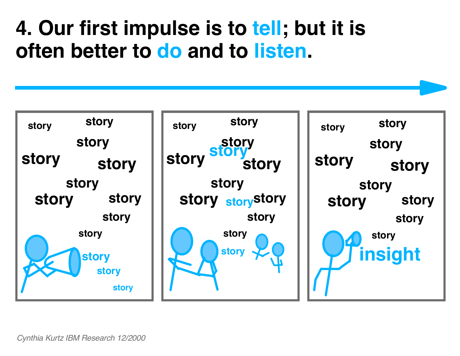#### **4. Our first impulse is to tell; but it is often better to do and to listen.**

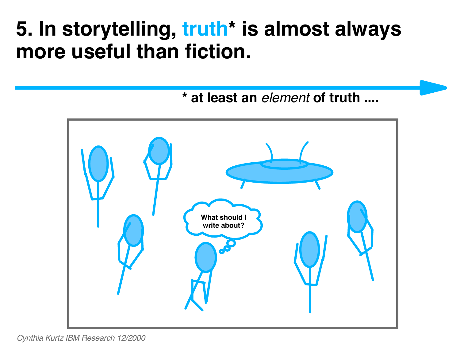#### **5. In storytelling, truth\* is almost always more useful than fiction.**

**\* at least an** *element* **of truth ....**

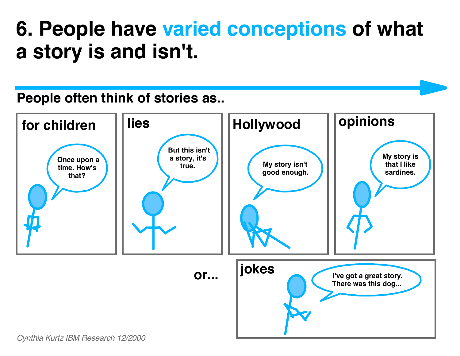#### **6. People have varied conceptions of what a story is and isn't.**

#### **People often think of stories as..**

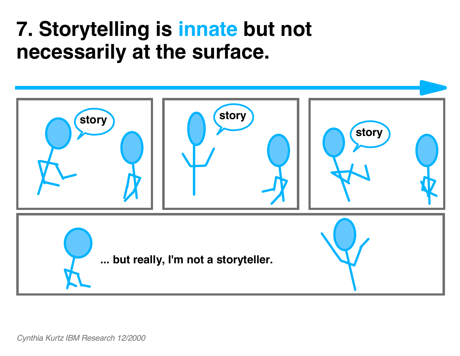#### **7. Storytelling is innate but not necessarily at the surface.**

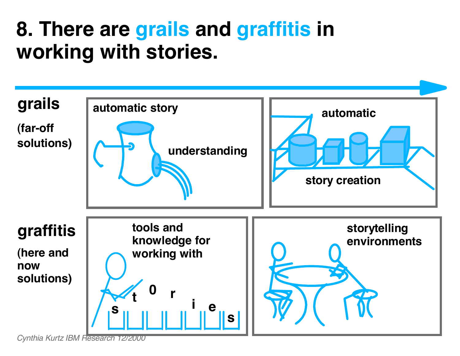#### **8. There are grails and graffitis in working with stories.**